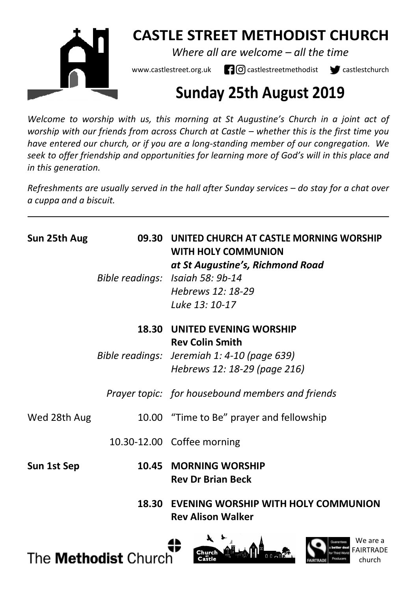

# **CASTLE STREET METHODIST CHURCH**

*Where all are welcome – all the time* 

www.castlestreet.org.uk  $\Box$   $\Box$  castlestreetmethodist  $\Box$  castlestchurch

# **Sunday 25th August 2019**

*Welcome to worship with us, this morning at St Augustine's Church in a joint act of worship with our friends from across Church at Castle – whether this is the first time you have entered our church, or if you are a long-standing member of our congregation. We seek to offer friendship and opportunities for learning more of God's will in this place and in this generation.* 

*Refreshments are usually served in the hall after Sunday services – do stay for a chat over a cuppa and a biscuit.*

| Sun 25th Aug | 09.30 UNITED CHURCH AT CASTLE MORNING WORSHIP<br>WITH HOLY COMMUNION<br>at St Augustine's, Richmond Road                                     |
|--------------|----------------------------------------------------------------------------------------------------------------------------------------------|
|              | Bible readings: Isaiah 58: 9b-14<br>Hebrews 12: 18-29<br>Luke 13: 10-17                                                                      |
|              | <b>18.30 UNITED EVENING WORSHIP</b><br><b>Rev Colin Smith</b><br>Bible readings: Jeremiah 1: 4-10 (page 639)<br>Hebrews 12: 18-29 (page 216) |
|              | Prayer topic: for housebound members and friends                                                                                             |
| Wed 28th Aug | 10.00 "Time to Be" prayer and fellowship                                                                                                     |
|              | 10.30-12.00 Coffee morning                                                                                                                   |
| Sun 1st Sep  | 10.45 MORNING WORSHIP<br><b>Rev Dr Brian Beck</b>                                                                                            |
|              | 18.30 EVENING WORSHIP WITH HOLY COMMUNION<br><b>Rev Alison Walker</b>                                                                        |



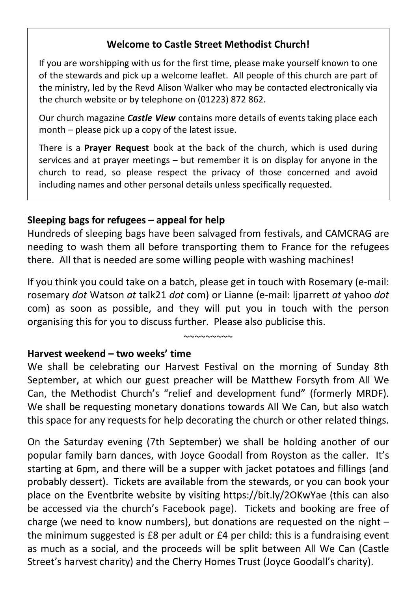## **Welcome to Castle Street Methodist Church!**

If you are worshipping with us for the first time, please make yourself known to one of the stewards and pick up a welcome leaflet. All people of this church are part of the ministry, led by the Revd Alison Walker who may be contacted electronically via the church website or by telephone on (01223) 872 862.

Our church magazine *Castle View* contains more details of events taking place each month – please pick up a copy of the latest issue.

There is a **Prayer Request** book at the back of the church, which is used during services and at prayer meetings – but remember it is on display for anyone in the church to read, so please respect the privacy of those concerned and avoid including names and other personal details unless specifically requested.

### **Sleeping bags for refugees – appeal for help**

Hundreds of sleeping bags have been salvaged from festivals, and CAMCRAG are needing to wash them all before transporting them to France for the refugees there. All that is needed are some willing people with washing machines!

If you think you could take on a batch, please get in touch with Rosemary (e-mail: rosemary *dot* Watson *at* talk21 *dot* com) or Lianne (e-mail: ljparrett *at* yahoo *dot* com) as soon as possible, and they will put you in touch with the person organising this for you to discuss further. Please also publicise this.

 $~\sim$ ~~~~~~~

### **Harvest weekend – two weeks' time**

We shall be celebrating our Harvest Festival on the morning of Sunday 8th September, at which our guest preacher will be Matthew Forsyth from All We Can, the Methodist Church's "relief and development fund" (formerly MRDF). We shall be requesting monetary donations towards All We Can, but also watch this space for any requests for help decorating the church or other related things.

On the Saturday evening (7th September) we shall be holding another of our popular family barn dances, with Joyce Goodall from Royston as the caller. It's starting at 6pm, and there will be a supper with jacket potatoes and fillings (and probably dessert). Tickets are available from the stewards, or you can book your place on the Eventbrite website by visiting https://bit.ly/2OKwYae (this can also be accessed via the church's Facebook page). Tickets and booking are free of charge (we need to know numbers), but donations are requested on the night – the minimum suggested is £8 per adult or £4 per child: this is a fundraising event as much as a social, and the proceeds will be split between All We Can (Castle Street's harvest charity) and the Cherry Homes Trust (Joyce Goodall's charity).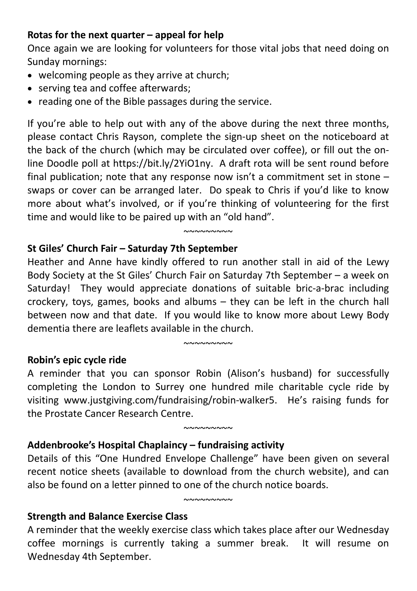## **Rotas for the next quarter – appeal for help**

Once again we are looking for volunteers for those vital jobs that need doing on Sunday mornings:

- welcoming people as they arrive at church;
- serving tea and coffee afterwards;
- reading one of the Bible passages during the service.

If you're able to help out with any of the above during the next three months, please contact Chris Rayson, complete the sign-up sheet on the noticeboard at the back of the church (which may be circulated over coffee), or fill out the online Doodle poll at https://bit.ly/2YiO1ny. A draft rota will be sent round before final publication; note that any response now isn't a commitment set in stone – swaps or cover can be arranged later. Do speak to Chris if you'd like to know more about what's involved, or if you're thinking of volunteering for the first time and would like to be paired up with an "old hand".

## **St Giles' Church Fair – Saturday 7th September**

Heather and Anne have kindly offered to run another stall in aid of the Lewy Body Society at the St Giles' Church Fair on Saturday 7th September – a week on Saturday! They would appreciate donations of suitable bric-a-brac including crockery, toys, games, books and albums – they can be left in the church hall between now and that date. If you would like to know more about Lewy Body dementia there are leaflets available in the church.

 $~\sim\sim\sim\sim\sim\sim\sim\sim$ 

~~~~~~~~~

### **Robin's epic cycle ride**

A reminder that you can sponsor Robin (Alison's husband) for successfully completing the London to Surrey one hundred mile charitable cycle ride by visiting www.justgiving.com/fundraising/robin-walker5. He's raising funds for the Prostate Cancer Research Centre.

 $~\sim$  $\sim$  $\sim$  $\sim$  $\sim$  $\sim$  $\sim$ 

## **Addenbrooke's Hospital Chaplaincy – fundraising activity**

Details of this "One Hundred Envelope Challenge" have been given on several recent notice sheets (available to download from the church website), and can also be found on a letter pinned to one of the church notice boards.

 $~\sim$ ~~~~~~~~

### **Strength and Balance Exercise Class**

A reminder that the weekly exercise class which takes place after our Wednesday coffee mornings is currently taking a summer break. It will resume on Wednesday 4th September.